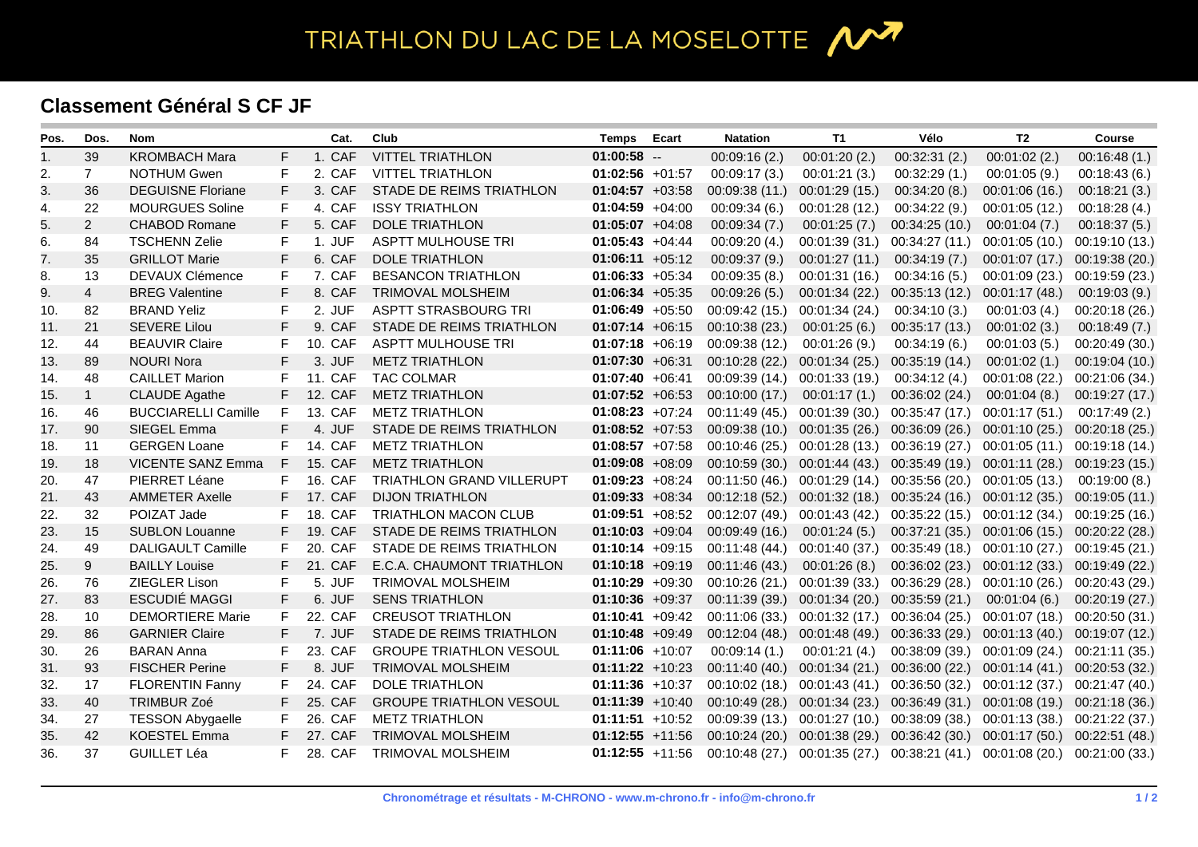TRIATHLON DU LAC DE LA MOSELOTTE 1

## **Classement Général S CF JF**

| Pos. | Dos.           | <b>Nom</b>                 |              | Cat.    | Club                           | <b>Temps</b>       | Ecart | <b>Natation</b> | T1             | Vélo                            | T2                                           | <b>Course</b>  |
|------|----------------|----------------------------|--------------|---------|--------------------------------|--------------------|-------|-----------------|----------------|---------------------------------|----------------------------------------------|----------------|
| 1.   | 39             | <b>KROMBACH Mara</b>       | F            | 1. CAF  | <b>VITTEL TRIATHLON</b>        | $01:00:58$ --      |       | 00:09:16(2.)    | 00:01:20(2.)   | 00:32:31(2.)                    | 00:01:02(2.)                                 | 00:16:48(1.)   |
| 2.   | $\overline{7}$ | <b>NOTHUM Gwen</b>         | F            | 2. CAF  | <b>VITTEL TRIATHLON</b>        | $01:02:56$ +01:57  |       | 00:09:17(3)     | 00:01:21(3.)   | 00:32:29(1)                     | 00:01:05(9)                                  | 00:18:43(6.)   |
| 3.   | 36             | <b>DEGUISNE Floriane</b>   | F            | 3. CAF  | STADE DE REIMS TRIATHLON       | $01:04:57 +03:58$  |       | 00:09:38(11)    | 00:01:29(15.)  | 00:34:20(8.)                    | 00:01:06(16.)                                | 00:18:21(3.)   |
| 4.   | 22             | <b>MOURGUES Soline</b>     | F            | 4. CAF  | <b>ISSY TRIATHLON</b>          | $01:04:59 +04:00$  |       | 00:09:34(6.)    | 00:01:28 (12.) | 00:34:22(9.)                    | 00:01:05(12.)                                | 00:18:28(4.)   |
| 5.   | $\overline{2}$ | <b>CHABOD Romane</b>       | F            | 5. CAF  | <b>DOLE TRIATHLON</b>          | $01:05:07 +04:08$  |       | 00:09:34(7.)    | 00:01:25(7.)   | 00:34:25(10.)                   | 00:01:04(7.)                                 | 00:18:37(5.)   |
| 6.   | 84             | <b>TSCHENN Zelie</b>       | F            | 1. JUF  | <b>ASPTT MULHOUSE TRI</b>      | $01:05:43 +04:44$  |       | 00:09:20(4.)    | 00:01:39 (31.) | 00:34:27(11)                    | 00:01:05(10.)                                | 00:19:10(13)   |
| 7.   | 35             | <b>GRILLOT Marie</b>       | F            | 6. CAF  | <b>DOLE TRIATHLON</b>          | $01:06:11 + 05:12$ |       | 00:09:37(9.)    | 00:01:27(11)   | 00:34:19(7.)                    | 00:01:07(17)                                 | 00:19:38 (20.) |
| 8.   | 13             | DEVAUX Clémence            | F            | 7. CAF  | <b>BESANCON TRIATHLON</b>      | $01:06:33 +05:34$  |       | 00:09:35(8.)    | 00:01:31 (16.) | 00:34:16(5.)                    | 00:01:09 (23.)                               | 00:19:59(23)   |
| 9.   | $\overline{4}$ | <b>BREG Valentine</b>      | $\mathsf{F}$ | 8. CAF  | <b>TRIMOVAL MOLSHEIM</b>       | $01:06:34 +05:35$  |       | 00:09:26(5.)    | 00:01:34 (22.) | 00:35:13(12)                    | 00:01:17(48.)                                | 00:19:03(9)    |
| 10.  | 82             | <b>BRAND Yeliz</b>         | F            | 2. JUF  | ASPTT STRASBOURG TRI           | $01:06:49 +05:50$  |       | 00:09:42(15.)   | 00:01:34 (24.) | 00:34:10(3.)                    | 00:01:03(4.)                                 | 00:20:18 (26.) |
| 11.  | 21             | <b>SEVERE Lilou</b>        | F            | 9. CAF  | STADE DE REIMS TRIATHLON       | $01:07:14 +06:15$  |       | 00:10:38 (23.)  | 00:01:25(6.)   | 00:35:17(13)                    | 00:01:02(3.)                                 | 00:18:49(7.)   |
| 12.  | 44             | <b>BEAUVIR Claire</b>      | F            | 10. CAF | <b>ASPTT MULHOUSE TRI</b>      | $01:07:18$ +06:19  |       | 00:09:38 (12.)  | 00:01:26(9.)   | 00:34:19(6.)                    | 00:01:03(5.)                                 | 00:20:49 (30.) |
| 13.  | 89             | <b>NOURI Nora</b>          | F            | 3. JUF  | <b>METZ TRIATHLON</b>          | $01:07:30 +06:31$  |       | 00:10:28 (22.)  | 00:01:34(25.)  | 00:35:19(14)                    | 00:01:02(1.)                                 | 00:19:04 (10.) |
| 14.  | 48             | <b>CAILLET Marion</b>      | F            | 11. CAF | <b>TAC COLMAR</b>              | $01:07:40 +06:41$  |       | 00:09:39 (14.)  | 00:01:33 (19.) | 00:34:12(4.)                    | 00:01:08 (22.)                               | 00:21:06 (34.) |
| 15.  | $\mathbf{1}$   | <b>CLAUDE Agathe</b>       | F            | 12. CAF | <b>METZ TRIATHLON</b>          | $01:07:52 +06:53$  |       | 00:10:00(17.)   | 00:01:17(1.)   | 00:36:02(24.)                   | 00:01:04(8.)                                 | 00:19:27 (17.) |
| 16.  | 46             | <b>BUCCIARELLI Camille</b> | F            | 13. CAF | <b>METZ TRIATHLON</b>          | $01:08:23 +07:24$  |       | 00:11:49(45)    | 00:01:39 (30.) | 00:35:47 (17.)                  | 00:01:17(51)                                 | 00:17:49(2)    |
| 17.  | 90             | SIEGEL Emma                | F            | 4. JUF  | STADE DE REIMS TRIATHLON       | $01:08:52 +07:53$  |       | 00:09:38(10.)   | 00:01:35(26.)  | 00:36:09(26)                    | 00:01:10 (25.) 00:20:18 (25.)                |                |
| 18.  | 11             | <b>GERGEN Loane</b>        | F            | 14. CAF | <b>METZ TRIATHLON</b>          | $01:08:57$ +07:58  |       | 00:10:46 (25.)  | 00:01:28 (13.) | 00:36:19 (27.)                  | 00:01:05 (11.)                               | 00:19:18 (14.) |
| 19.  | 18             | <b>VICENTE SANZ Emma</b>   | F            | 15. CAF | <b>METZ TRIATHLON</b>          | $01:09:08$ +08:09  |       | 00:10:59(30)    | 00:01:44 (43.) |                                 | 00:35:49 (19.) 00:01:11 (28.)                | 00:19:23 (15.) |
| 20.  | 47             | PIERRET Léane              | F            | 16. CAF | TRIATHLON GRAND VILLERUPT      | $01:09:23 +08:24$  |       | 00:11:50(46)    | 00:01:29 (14.) | $00:35:56(20.)$ $00:01:05(13.)$ |                                              | 00:19:00(8.)   |
| 21.  | 43             | <b>AMMETER Axelle</b>      | F            | 17. CAF | <b>DIJON TRIATHLON</b>         | $01:09:33 +08:34$  |       | 00:12:18(52)    | 00:01:32(18.)  |                                 | $00:35:24(16.)$ $00:01:12(35.)$              | 00:19:05(11)   |
| 22.  | 32             | POIZAT Jade                | F            | 18. CAF | TRIATHLON MACON CLUB           | $01:09:51 +08:52$  |       | 00:12:07 (49.)  | 00:01:43 (42.) |                                 | 00:35:22 (15.) 00:01:12 (34.)                | 00:19:25 (16.) |
| 23.  | 15             | <b>SUBLON Louanne</b>      | F.           | 19. CAF | STADE DE REIMS TRIATHLON       | $01:10:03 +09:04$  |       | 00:09:49 (16.)  | 00:01:24(5.)   |                                 | 00:37:21 (35.) 00:01:06 (15.)                | 00:20:22 (28.) |
| 24.  | 49             | <b>DALIGAULT Camille</b>   | F            | 20. CAF | STADE DE REIMS TRIATHLON       | $01:10:14 +09:15$  |       | 00:11:48 (44.)  | 00:01:40 (37.) |                                 | $00:35:49(18.)$ $00:01:10(27.)$              | 00:19:45 (21.) |
| 25.  | $9\,$          | <b>BAILLY Louise</b>       | F            | 21. CAF | E.C.A. CHAUMONT TRIATHLON      | $01:10:18 +09:19$  |       | 00:11:46 (43.)  | 00:01:26(8.)   |                                 | 00:36:02 (23.) 00:01:12 (33.) 00:19:49 (22.) |                |
| 26.  | 76             | ZIEGLER Lison              | F            | 5. JUF  | <b>TRIMOVAL MOLSHEIM</b>       | $01:10:29 +09:30$  |       | 00:10:26(21.)   | 00:01:39 (33.) |                                 | 00:36:29 (28.) 00:01:10 (26.)                | 00:20:43 (29.) |
| 27.  | 83             | ESCUDIÉ MAGGI              | F            | 6. JUF  | <b>SENS TRIATHLON</b>          | $01:10:36 +09:37$  |       | 00:11:39 (39.)  | 00:01:34 (20.) | 00:35:59(21)                    | 00:01:04(6.)                                 | 00:20:19 (27.) |
| 28.  | 10             | <b>DEMORTIERE Marie</b>    | F            | 22. CAF | <b>CREUSOT TRIATHLON</b>       | $01:10:41 +09:42$  |       | 00:11:06(33)    | 00:01:32 (17.) | 00:36:04 (25.)                  | 00:01:07 (18.)                               | 00:20:50 (31.) |
| 29.  | 86             | <b>GARNIER Claire</b>      | F            | 7. JUF  | STADE DE REIMS TRIATHLON       | $01:10:48$ +09:49  |       | 00:12:04(48.)   | 00:01:48 (49.) |                                 | 00:36:33 (29.) 00:01:13 (40.) 00:19:07 (12.) |                |
| 30.  | 26             | <b>BARAN Anna</b>          | F            | 23. CAF | <b>GROUPE TRIATHLON VESOUL</b> | $01:11:06$ +10:07  |       | 00:09:14(1.)    | 00:01:21(4.)   |                                 | 00:38:09 (39.) 00:01:09 (24.)                | 00:21:11 (35.) |
| 31.  | 93             | <b>FISCHER Perine</b>      | F            | 8. JUF  | <b>TRIMOVAL MOLSHEIM</b>       | $01:11:22 + 10:23$ |       | 00:11:40(40.)   | 00:01:34(21.)  |                                 | 00:36:00 (22.) 00:01:14 (41.) 00:20:53 (32.) |                |
| 32.  | 17             | <b>FLORENTIN Fanny</b>     | F            | 24. CAF | DOLE TRIATHLON                 | $01:11:36 + 10:37$ |       | 00:10:02(18.)   | 00:01:43 (41.) | 00:36:50 (32.)                  | 00:01:12 (37.)                               | 00:21:47 (40.) |
| 33.  | 40             | <b>TRIMBUR Zoé</b>         | F            | 25. CAF | <b>GROUPE TRIATHLON VESOUL</b> | $01:11:39$ +10:40  |       | 00:10:49(28.)   | 00:01:34 (23.) |                                 | 00:36:49 (31.) 00:01:08 (19.) 00:21:18 (36.) |                |
| 34.  | 27             | <b>TESSON Abygaelle</b>    | F            | 26. CAF | <b>METZ TRIATHLON</b>          | $01:11:51$ +10:52  |       | 00:09:39(13)    | 00:01:27(10.)  | 00:38:09 (38.)                  | 00:01:13 (38.)                               | 00:21:22 (37.) |
| 35.  | 42             | <b>KOESTEL Emma</b>        | F            | 27. CAF | <b>TRIMOVAL MOLSHEIM</b>       | $01:12:55 +11:56$  |       | 00:10:24(20.)   | 00:01:38 (29.) |                                 | 00:36:42 (30.) 00:01:17 (50.) 00:22:51 (48.) |                |
| 36.  | 37             | <b>GUILLET Léa</b>         | F            | 28. CAF | <b>TRIMOVAL MOLSHEIM</b>       | $01:12:55$ +11:56  |       | 00:10:48 (27.)  | 00:01:35 (27.) |                                 | $00:38:21(41.)$ $00:01:08(20.)$              | 00:21:00 (33.) |